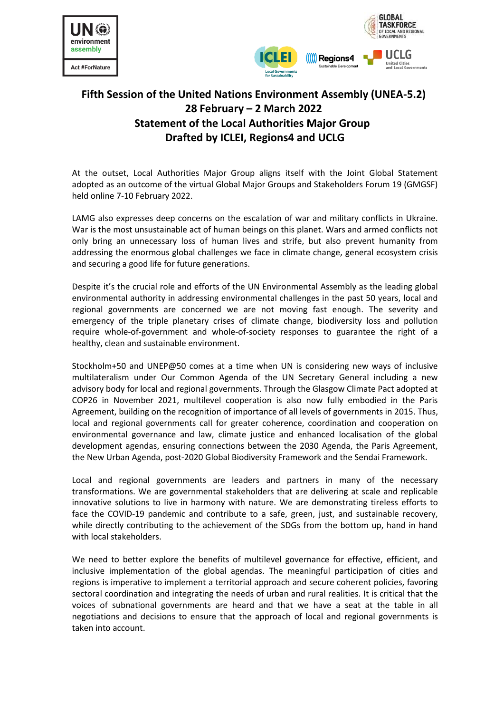



## **Fifth Session of the United Nations Environment Assembly (UNEA-5.2) 28 February – 2 March 2022 Statement of the Local Authorities Major Group Drafted by ICLEI, Regions4 and UCLG**

At the outset, Local Authorities Major Group aligns itself with the Joint Global Statement adopted as an outcome of the virtual Global Major Groups and Stakeholders Forum 19 (GMGSF) held online 7-10 February 2022.

LAMG also expresses deep concerns on the escalation of war and military conflicts in Ukraine. War is the most unsustainable act of human beings on this planet. Wars and armed conflicts not only bring an unnecessary loss of human lives and strife, but also prevent humanity from addressing the enormous global challenges we face in climate change, general ecosystem crisis and securing a good life for future generations.

Despite it's the crucial role and efforts of the UN Environmental Assembly as the leading global environmental authority in addressing environmental challenges in the past 50 years, local and regional governments are concerned we are not moving fast enough. The severity and emergency of the triple planetary crises of climate change, biodiversity loss and pollution require whole-of-government and whole-of-society responses to guarantee the right of a healthy, clean and sustainable environment.

Stockholm+50 and UNEP@50 comes at a time when UN is considering new ways of inclusive multilateralism under Our Common Agenda of the UN Secretary General including a new advisory body for local and regional governments. Through the Glasgow Climate Pact adopted at COP26 in November 2021, multilevel cooperation is also now fully embodied in the Paris Agreement, building on the recognition of importance of all levels of governments in 2015. Thus, local and regional governments call for greater coherence, coordination and cooperation on environmental governance and law, climate justice and enhanced localisation of the global development agendas, ensuring connections between the 2030 Agenda, the Paris Agreement, the New Urban Agenda, post-2020 Global Biodiversity Framework and the Sendai Framework.

Local and regional governments are leaders and partners in many of the necessary transformations. We are governmental stakeholders that are delivering at scale and replicable innovative solutions to live in harmony with nature. We are demonstrating tireless efforts to face the COVID-19 pandemic and contribute to a safe, green, just, and sustainable recovery, while directly contributing to the achievement of the SDGs from the bottom up, hand in hand with local stakeholders.

We need to better explore the benefits of multilevel governance for effective, efficient, and inclusive implementation of the global agendas. The meaningful participation of cities and regions is imperative to implement a territorial approach and secure coherent policies, favoring sectoral coordination and integrating the needs of urban and rural realities. It is critical that the voices of subnational governments are heard and that we have a seat at the table in all negotiations and decisions to ensure that the approach of local and regional governments is taken into account.